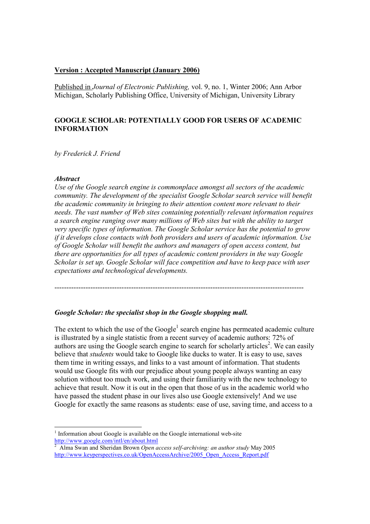### Version : Accepted Manuscript (January 2006)

Published in Journal of Electronic Publishing, vol. 9, no. 1, Winter 2006; Ann Arbor Michigan, Scholarly Publishing Office, University of Michigan, University Library

# GOOGLE SCHOLAR: POTENTIALLY GOOD FOR USERS OF ACADEMIC INFORMATION

by Frederick J. Friend

### Abstract

-

Use of the Google search engine is commonplace amongst all sectors of the academic community. The development of the specialist Google Scholar search service will benefit the academic community in bringing to their attention content more relevant to their needs. The vast number of Web sites containing potentially relevant information requires a search engine ranging over many millions of Web sites but with the ability to target very specific types of information. The Google Scholar service has the potential to grow if it develops close contacts with both providers and users of academic information. Use of Google Scholar will benefit the authors and managers of open access content, but there are opportunities for all types of academic content providers in the way Google Scholar is set up. Google Scholar will face competition and have to keep pace with user expectations and technological developments.

--------------------------------------------------------------------------------------------------------

#### Google Scholar: the specialist shop in the Google shopping mall.

The extent to which the use of the Google<sup>1</sup> search engine has permeated academic culture is illustrated by a single statistic from a recent survey of academic authors: 72% of authors are using the Google search engine to search for scholarly articles<sup>2</sup>. We can easily believe that *students* would take to Google like ducks to water. It is easy to use, saves them time in writing essays, and links to a vast amount of information. That students would use Google fits with our prejudice about young people always wanting an easy solution without too much work, and using their familiarity with the new technology to achieve that result. Now it is out in the open that those of us in the academic world who have passed the student phase in our lives also use Google extensively! And we use Google for exactly the same reasons as students: ease of use, saving time, and access to a

<sup>1</sup> Information about Google is available on the Google international web-site http://www.google.com/intl/en/about.html

<sup>2</sup> Alma Swan and Sheridan Brown Open access self-archiving: an author study May 2005 http://www.keyperspectives.co.uk/OpenAccessArchive/2005\_Open\_Access\_Report.pdf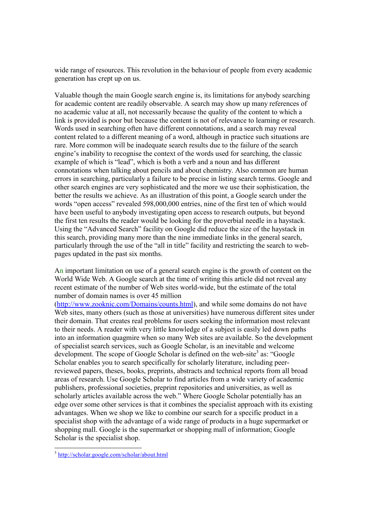wide range of resources. This revolution in the behaviour of people from every academic generation has crept up on us.

Valuable though the main Google search engine is, its limitations for anybody searching for academic content are readily observable. A search may show up many references of no academic value at all, not necessarily because the quality of the content to which a link is provided is poor but because the content is not of relevance to learning or research. Words used in searching often have different connotations, and a search may reveal content related to a different meaning of a word, although in practice such situations are rare. More common will be inadequate search results due to the failure of the search engine's inability to recognise the context of the words used for searching, the classic example of which is "lead", which is both a verb and a noun and has different connotations when talking about pencils and about chemistry. Also common are human errors in searching, particularly a failure to be precise in listing search terms. Google and other search engines are very sophisticated and the more we use their sophistication, the better the results we achieve. As an illustration of this point, a Google search under the words "open access" revealed 598,000,000 entries, nine of the first ten of which would have been useful to anybody investigating open access to research outputs, but beyond the first ten results the reader would be looking for the proverbial needle in a haystack. Using the "Advanced Search" facility on Google did reduce the size of the haystack in this search, providing many more than the nine immediate links in the general search, particularly through the use of the "all in title" facility and restricting the search to webpages updated in the past six months.

An important limitation on use of a general search engine is the growth of content on the World Wide Web. A Google search at the time of writing this article did not reveal any recent estimate of the number of Web sites world-wide, but the estimate of the total number of domain names is over 45 million

(http://www.zooknic.com/Domains/counts.html), and while some domains do not have Web sites, many others (such as those at universities) have numerous different sites under their domain. That creates real problems for users seeking the information most relevant to their needs. A reader with very little knowledge of a subject is easily led down paths into an information quagmire when so many Web sites are available. So the development of specialist search services, such as Google Scholar, is an inevitable and welcome development. The scope of Google Scholar is defined on the web-site<sup>3</sup> as: "Google Scholar enables you to search specifically for scholarly literature, including peerreviewed papers, theses, books, preprints, abstracts and technical reports from all broad areas of research. Use Google Scholar to find articles from a wide variety of academic publishers, professional societies, preprint repositories and universities, as well as scholarly articles available across the web." Where Google Scholar potentially has an edge over some other services is that it combines the specialist approach with its existing advantages. When we shop we like to combine our search for a specific product in a specialist shop with the advantage of a wide range of products in a huge supermarket or shopping mall. Google is the supermarket or shopping mall of information; Google Scholar is the specialist shop.

<sup>&</sup>lt;sup>3</sup> http://scholar.google.com/scholar/about.html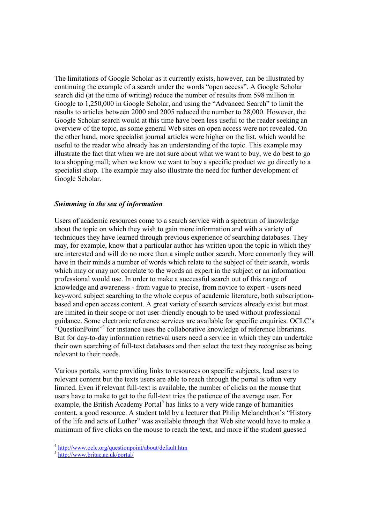The limitations of Google Scholar as it currently exists, however, can be illustrated by continuing the example of a search under the words "open access". A Google Scholar search did (at the time of writing) reduce the number of results from 598 million in Google to 1,250,000 in Google Scholar, and using the "Advanced Search" to limit the results to articles between 2000 and 2005 reduced the number to 28,000. However, the Google Scholar search would at this time have been less useful to the reader seeking an overview of the topic, as some general Web sites on open access were not revealed. On the other hand, more specialist journal articles were higher on the list, which would be useful to the reader who already has an understanding of the topic. This example may illustrate the fact that when we are not sure about what we want to buy, we do best to go to a shopping mall; when we know we want to buy a specific product we go directly to a specialist shop. The example may also illustrate the need for further development of Google Scholar.

### Swimming in the sea of information

Users of academic resources come to a search service with a spectrum of knowledge about the topic on which they wish to gain more information and with a variety of techniques they have learned through previous experience of searching databases. They may, for example, know that a particular author has written upon the topic in which they are interested and will do no more than a simple author search. More commonly they will have in their minds a number of words which relate to the subject of their search, words which may or may not correlate to the words an expert in the subject or an information professional would use. In order to make a successful search out of this range of knowledge and awareness - from vague to precise, from novice to expert - users need key-word subject searching to the whole corpus of academic literature, both subscriptionbased and open access content. A great variety of search services already exist but most are limited in their scope or not user-friendly enough to be used without professional guidance. Some electronic reference services are available for specific enquiries. OCLC's "QuestionPoint"<sup>4</sup> for instance uses the collaborative knowledge of reference librarians. But for day-to-day information retrieval users need a service in which they can undertake their own searching of full-text databases and then select the text they recognise as being relevant to their needs.

Various portals, some providing links to resources on specific subjects, lead users to relevant content but the texts users are able to reach through the portal is often very limited. Even if relevant full-text is available, the number of clicks on the mouse that users have to make to get to the full-text tries the patience of the average user. For example, the British Academy Portal<sup>5</sup> has links to a very wide range of humanities content, a good resource. A student told by a lecturer that Philip Melanchthon's "History of the life and acts of Luther" was available through that Web site would have to make a minimum of five clicks on the mouse to reach the text, and more if the student guessed

<sup>&</sup>lt;sup>4</sup> http://www.oclc.org/questionpoint/about/default.htm

<sup>&</sup>lt;sup>5</sup> http://www.britac.ac.uk/portal/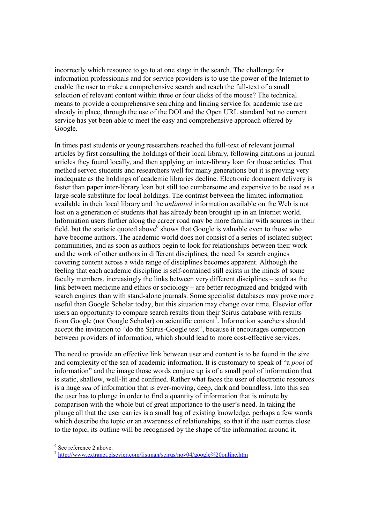incorrectly which resource to go to at one stage in the search. The challenge for information professionals and for service providers is to use the power of the Internet to enable the user to make a comprehensive search and reach the full-text of a small selection of relevant content within three or four clicks of the mouse? The technical means to provide a comprehensive searching and linking service for academic use are already in place, through the use of the DOI and the Open URL standard but no current service has yet been able to meet the easy and comprehensive approach offered by Google.

In times past students or young researchers reached the full-text of relevant journal articles by first consulting the holdings of their local library, following citations in journal articles they found locally, and then applying on inter-library loan for those articles. That method served students and researchers well for many generations but it is proving very inadequate as the holdings of academic libraries decline. Electronic document delivery is faster than paper inter-library loan but still too cumbersome and expensive to be used as a large-scale substitute for local holdings. The contrast between the limited information available in their local library and the unlimited information available on the Web is not lost on a generation of students that has already been brought up in an Internet world. Information users further along the career road may be more familiar with sources in their field, but the statistic quoted above <sup>6</sup> shows that Google is valuable even to those who have become authors. The academic world does not consist of a series of isolated subject communities, and as soon as authors begin to look for relationships between their work and the work of other authors in different disciplines, the need for search engines covering content across a wide range of disciplines becomes apparent. Although the feeling that each academic discipline is self-contained still exists in the minds of some faculty members, increasingly the links between very different disciplines – such as the link between medicine and ethics or sociology – are better recognized and bridged with search engines than with stand-alone journals. Some specialist databases may prove more useful than Google Scholar today, but this situation may change over time. Elsevier offer users an opportunity to compare search results from their Scirus database with results from Google (not Google Scholar) on scientific content<sup>7</sup>. Information searchers should accept the invitation to "do the Scirus-Google test", because it encourages competition between providers of information, which should lead to more cost-effective services.

The need to provide an effective link between user and content is to be found in the size and complexity of the sea of academic information. It is customary to speak of "a *pool* of information" and the image those words conjure up is of a small pool of information that is static, shallow, well-lit and confined. Rather what faces the user of electronic resources is a huge sea of information that is ever-moving, deep, dark and boundless. Into this sea the user has to plunge in order to find a quantity of information that is minute by comparison with the whole but of great importance to the user's need. In taking the plunge all that the user carries is a small bag of existing knowledge, perhaps a few words which describe the topic or an awareness of relationships, so that if the user comes close to the topic, its outline will be recognised by the shape of the information around it.

 6 See reference 2 above.

<sup>&</sup>lt;sup>7</sup> http://www.extranet.elsevier.com/listman/scirus/nov04/google%20online.htm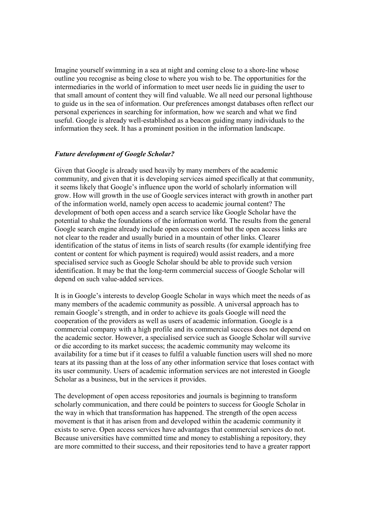Imagine yourself swimming in a sea at night and coming close to a shore-line whose outline you recognise as being close to where you wish to be. The opportunities for the intermediaries in the world of information to meet user needs lie in guiding the user to that small amount of content they will find valuable. We all need our personal lighthouse to guide us in the sea of information. Our preferences amongst databases often reflect our personal experiences in searching for information, how we search and what we find useful. Google is already well-established as a beacon guiding many individuals to the information they seek. It has a prominent position in the information landscape.

## Future development of Google Scholar?

Given that Google is already used heavily by many members of the academic community, and given that it is developing services aimed specifically at that community, it seems likely that Google's influence upon the world of scholarly information will grow. How will growth in the use of Google services interact with growth in another part of the information world, namely open access to academic journal content? The development of both open access and a search service like Google Scholar have the potential to shake the foundations of the information world. The results from the general Google search engine already include open access content but the open access links are not clear to the reader and usually buried in a mountain of other links. Clearer identification of the status of items in lists of search results (for example identifying free content or content for which payment is required) would assist readers, and a more specialised service such as Google Scholar should be able to provide such version identification. It may be that the long-term commercial success of Google Scholar will depend on such value-added services.

It is in Google's interests to develop Google Scholar in ways which meet the needs of as many members of the academic community as possible. A universal approach has to remain Google's strength, and in order to achieve its goals Google will need the cooperation of the providers as well as users of academic information. Google is a commercial company with a high profile and its commercial success does not depend on the academic sector. However, a specialised service such as Google Scholar will survive or die according to its market success; the academic community may welcome its availability for a time but if it ceases to fulfil a valuable function users will shed no more tears at its passing than at the loss of any other information service that loses contact with its user community. Users of academic information services are not interested in Google Scholar as a business, but in the services it provides.

The development of open access repositories and journals is beginning to transform scholarly communication, and there could be pointers to success for Google Scholar in the way in which that transformation has happened. The strength of the open access movement is that it has arisen from and developed within the academic community it exists to serve. Open access services have advantages that commercial services do not. Because universities have committed time and money to establishing a repository, they are more committed to their success, and their repositories tend to have a greater rapport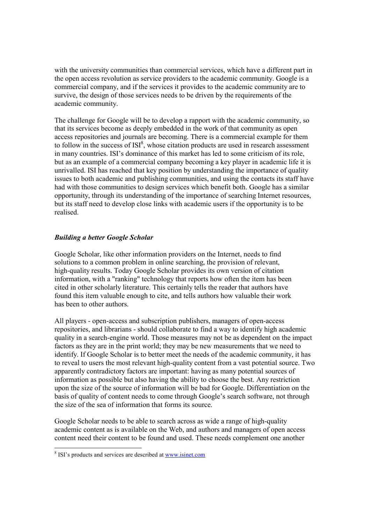with the university communities than commercial services, which have a different part in the open access revolution as service providers to the academic community. Google is a commercial company, and if the services it provides to the academic community are to survive, the design of those services needs to be driven by the requirements of the academic community.

The challenge for Google will be to develop a rapport with the academic community, so that its services become as deeply embedded in the work of that community as open access repositories and journals are becoming. There is a commercial example for them to follow in the success of  $ISI<sup>8</sup>$ , whose citation products are used in research assessment in many countries. ISI's dominance of this market has led to some criticism of its role, but as an example of a commercial company becoming a key player in academic life it is unrivalled. ISI has reached that key position by understanding the importance of quality issues to both academic and publishing communities, and using the contacts its staff have had with those communities to design services which benefit both. Google has a similar opportunity, through its understanding of the importance of searching Internet resources, but its staff need to develop close links with academic users if the opportunity is to be realised.

# Building a better Google Scholar

Google Scholar, like other information providers on the Internet, needs to find solutions to a common problem in online searching, the provision of relevant, high-quality results. Today Google Scholar provides its own version of citation information, with a "ranking" technology that reports how often the item has been cited in other scholarly literature. This certainly tells the reader that authors have found this item valuable enough to cite, and tells authors how valuable their work has been to other authors.

All players - open-access and subscription publishers, managers of open-access repositories, and librarians - should collaborate to find a way to identify high academic quality in a search-engine world. Those measures may not be as dependent on the impact factors as they are in the print world; they may be new measurements that we need to identify. If Google Scholar is to better meet the needs of the academic community, it has to reveal to users the most relevant high-quality content from a vast potential source. Two apparently contradictory factors are important: having as many potential sources of information as possible but also having the ability to choose the best. Any restriction upon the size of the source of information will be bad for Google. Differentiation on the basis of quality of content needs to come through Google's search software, not through the size of the sea of information that forms its source.

Google Scholar needs to be able to search across as wide a range of high-quality academic content as is available on the Web, and authors and managers of open access content need their content to be found and used. These needs complement one another

<sup>&</sup>lt;sup>8</sup> ISI's products and services are described at <u>www.isinet.com</u>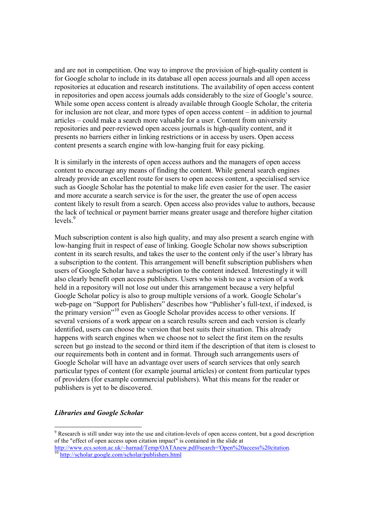and are not in competition. One way to improve the provision of high-quality content is for Google scholar to include in its database all open access journals and all open access repositories at education and research institutions. The availability of open access content in repositories and open access journals adds considerably to the size of Google's source. While some open access content is already available through Google Scholar, the criteria for inclusion are not clear, and more types of open access content – in addition to journal articles – could make a search more valuable for a user. Content from university repositories and peer-reviewed open access journals is high-quality content, and it presents no barriers either in linking restrictions or in access by users. Open access content presents a search engine with low-hanging fruit for easy picking.

It is similarly in the interests of open access authors and the managers of open access content to encourage any means of finding the content. While general search engines already provide an excellent route for users to open access content, a specialised service such as Google Scholar has the potential to make life even easier for the user. The easier and more accurate a search service is for the user, the greater the use of open access content likely to result from a search. Open access also provides value to authors, because the lack of technical or payment barrier means greater usage and therefore higher citation levels.<sup>9</sup>

Much subscription content is also high quality, and may also present a search engine with low-hanging fruit in respect of ease of linking. Google Scholar now shows subscription content in its search results, and takes the user to the content only if the user's library has a subscription to the content. This arrangement will benefit subscription publishers when users of Google Scholar have a subscription to the content indexed. Interestingly it will also clearly benefit open access publishers. Users who wish to use a version of a work held in a repository will not lose out under this arrangement because a very helpful Google Scholar policy is also to group multiple versions of a work. Google Scholar's web-page on "Support for Publishers" describes how "Publisher's full-text, if indexed, is the primary version"<sup>10</sup> even as Google Scholar provides access to other versions. If several versions of a work appear on a search results screen and each version is clearly identified, users can choose the version that best suits their situation. This already happens with search engines when we choose not to select the first item on the results screen but go instead to the second or third item if the description of that item is closest to our requirements both in content and in format. Through such arrangements users of Google Scholar will have an advantage over users of search services that only search particular types of content (for example journal articles) or content from particular types of providers (for example commercial publishers). What this means for the reader or publishers is yet to be discovered.

## Libraries and Google Scholar

-

<sup>&</sup>lt;sup>9</sup> Research is still under way into the use and citation-levels of open access content, but a good description of the "effect of open access upon citation impact" is contained in the slide at

http://www.ecs.soton.ac.uk/~harnad/Temp/OATAnew.pdf#search='Open%20access%20citation. <sup>10</sup> http://scholar.google.com/scholar/publishers.html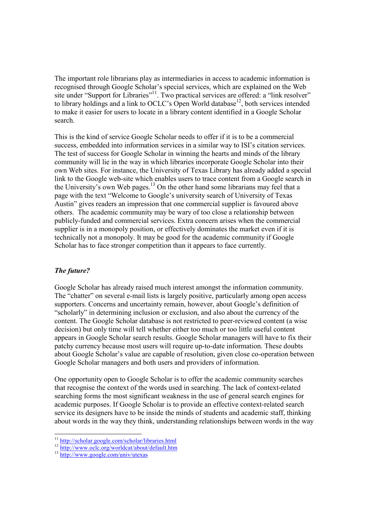The important role librarians play as intermediaries in access to academic information is recognised through Google Scholar's special services, which are explained on the Web site under "Support for Libraries"<sup>11</sup>. Two practical services are offered: a "link resolver" to library holdings and a link to OCLC's Open World database<sup>12</sup>, both services intended to make it easier for users to locate in a library content identified in a Google Scholar search.

This is the kind of service Google Scholar needs to offer if it is to be a commercial success, embedded into information services in a similar way to ISI's citation services. The test of success for Google Scholar in winning the hearts and minds of the library community will lie in the way in which libraries incorporate Google Scholar into their own Web sites. For instance, the University of Texas Library has already added a special link to the Google web-site which enables users to trace content from a Google search in the University's own Web pages.<sup>13</sup> On the other hand some librarians may feel that a page with the text "Welcome to Google's university search of University of Texas Austin" gives readers an impression that one commercial supplier is favoured above others. The academic community may be wary of too close a relationship between publicly-funded and commercial services. Extra concern arises when the commercial supplier is in a monopoly position, or effectively dominates the market even if it is technically not a monopoly. It may be good for the academic community if Google Scholar has to face stronger competition than it appears to face currently.

## The future?

-

Google Scholar has already raised much interest amongst the information community. The "chatter" on several e-mail lists is largely positive, particularly among open access supporters. Concerns and uncertainty remain, however, about Google's definition of "scholarly" in determining inclusion or exclusion, and also about the currency of the content. The Google Scholar database is not restricted to peer-reviewed content (a wise decision) but only time will tell whether either too much or too little useful content appears in Google Scholar search results. Google Scholar managers will have to fix their patchy currency because most users will require up-to-date information. These doubts about Google Scholar's value are capable of resolution, given close co-operation between Google Scholar managers and both users and providers of information.

One opportunity open to Google Scholar is to offer the academic community searches that recognise the context of the words used in searching. The lack of context-related searching forms the most significant weakness in the use of general search engines for academic purposes. If Google Scholar is to provide an effective context-related search service its designers have to be inside the minds of students and academic staff, thinking about words in the way they think, understanding relationships between words in the way

<sup>&</sup>lt;sup>11</sup> http://scholar.google.com/scholar/libraries.html

<sup>&</sup>lt;sup>12</sup> http://www.oclc.org/worldcat/about/default.htm

<sup>&</sup>lt;sup>13</sup> http://www.google.com/univ/utexas